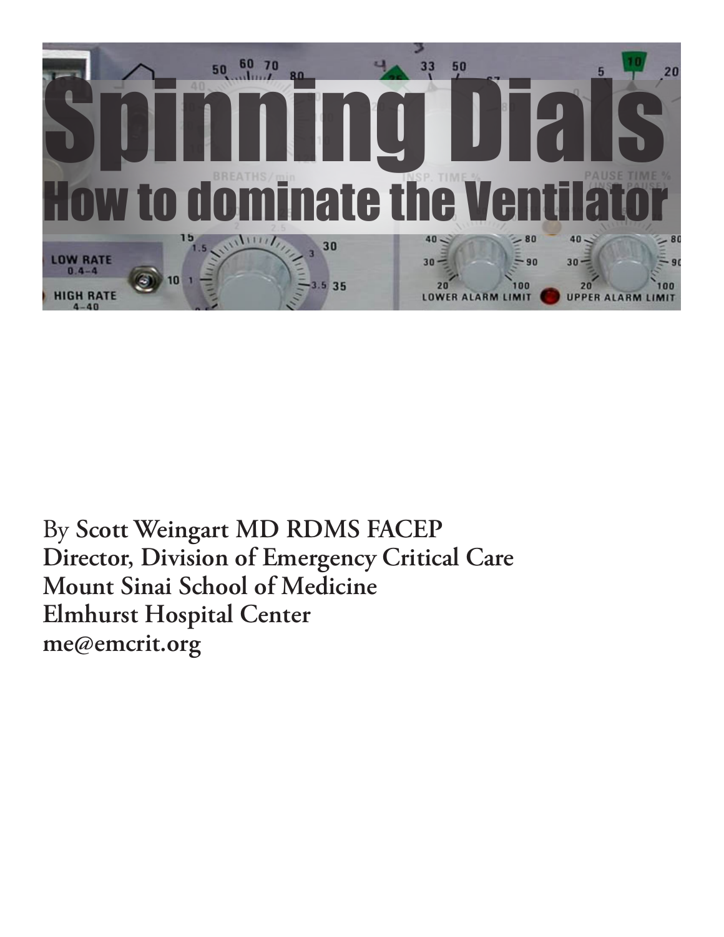

By **Scott Weingart MD RDMS FACEP Director, Division of Emergency Critical Care Mount Sinai School of Medicine Elmhurst Hospital Center me@emcrit.org**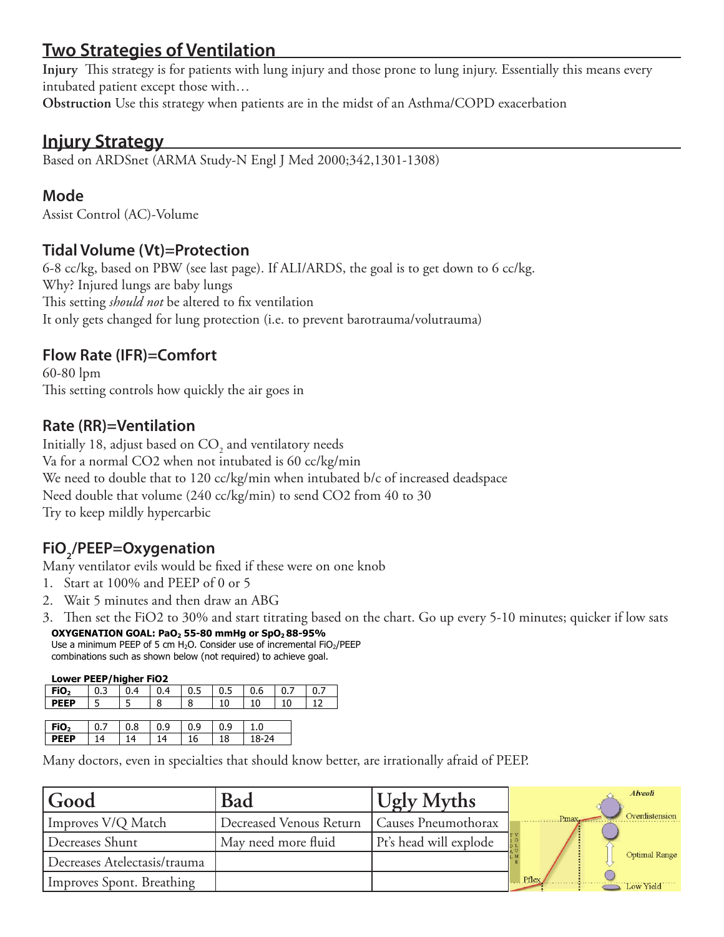# **Two Strategies of Ventilation**

**Injury** This strategy is for patients with lung injury and those prone to lung injury. Essentially this means every intubated patient except those with…

**Obstruction** Use this strategy when patients are in the midst of an Asthma/COPD exacerbation

### **Injury Strategy**

Based on ARDSnet (ARMA Study-N Engl J Med 2000;342,1301-1308)

#### **Mode**

Assist Control (AC)-Volume

#### **Tidal Volume (Vt)=Protection**

6-8 cc/kg, based on PBW (see last page). If ALI/ARDS, the goal is to get down to 6 cc/kg. Why? Injured lungs are baby lungs This setting *should not* be altered to fix ventilation It only gets changed for lung protection (i.e. to prevent barotrauma/volutrauma)

#### **Flow Rate (IFR)=Comfort**

60-80 lpm This setting controls how quickly the air goes in

#### **Rate (RR)=Ventilation**

Initially 18, adjust based on  $\mathrm{CO}_2^{}$  and ventilatory needs Va for a normal CO2 when not intubated is 60 cc/kg/min We need to double that to 120 cc/kg/min when intubated b/c of increased deadspace Need double that volume (240 cc/kg/min) to send CO2 from 40 to 30 Try to keep mildly hypercarbic

# **FiO2 /PEEP=Oxygenation**

Many ventilator evils would be fixed if these were on one knob

- 1. Start at 100% and PEEP of 0 or 5
- 2. Wait 5 minutes and then draw an ABG
- 3. Then set the FiO2 to 30% and start titrating based on the chart. Go up every 5-10 minutes; quicker if low sats *ARDSnet* **OXYGENATION GOAL: PaO2 55-80 mmHg or SpO2 88-95%**

Use a minimum PEEP of 5 cm  $H_2O$ . Consider use of incremental  $FiO_2/PEEP$ combinations such as shown below (not required) to achieve goal.

#### **Lower PEEP/higher FiO2**

| FiO <sub>2</sub> | $\mid$ 0.3 | 0.4 | 0.4 | $\vert 0.5 \vert 0.5$ |    | 0.6 | 0.7 |  |
|------------------|------------|-----|-----|-----------------------|----|-----|-----|--|
| <b>DFFP</b>      | $\sqrt{5}$ |     | 8   | 8                     | 10 | 10  | 10  |  |
|                  |            |     |     |                       |    |     |     |  |

| FiO <sub>2</sub> | $\sim$ $-$<br>0.7 | $\sim$ $\sim$<br>ึ 0.8 | $\sim$<br>- 0.5 | $\sim$<br>Q<br>U.S | $\sim$ $\sim$<br><b>U.S</b> | u     |  |
|------------------|-------------------|------------------------|-----------------|--------------------|-----------------------------|-------|--|
| <b>PEEP</b>      | 14<br>. .         | 14.                    | 14              | -<br>16            | 18                          | 18-24 |  |

**Higher PEEP/lower FiO2**  Many doctors, even in specialties that should know better, are irrationally afraid of PEEP.

| Good                         | Bad                     | <b>Ugly Myths</b>      | Alveoli                 |
|------------------------------|-------------------------|------------------------|-------------------------|
| Improves V/Q Match           | Decreased Venous Return | Causes Pneumothorax    | Overdistension<br>Pmax. |
| Decreases Shunt              | May need more fluid     | Pt's head will explode |                         |
| Decreases Atelectasis/trauma |                         |                        | <b>Optimal Range</b>    |
| Improves Spont. Breathing    |                         |                        | Pflex<br>Low Yield      |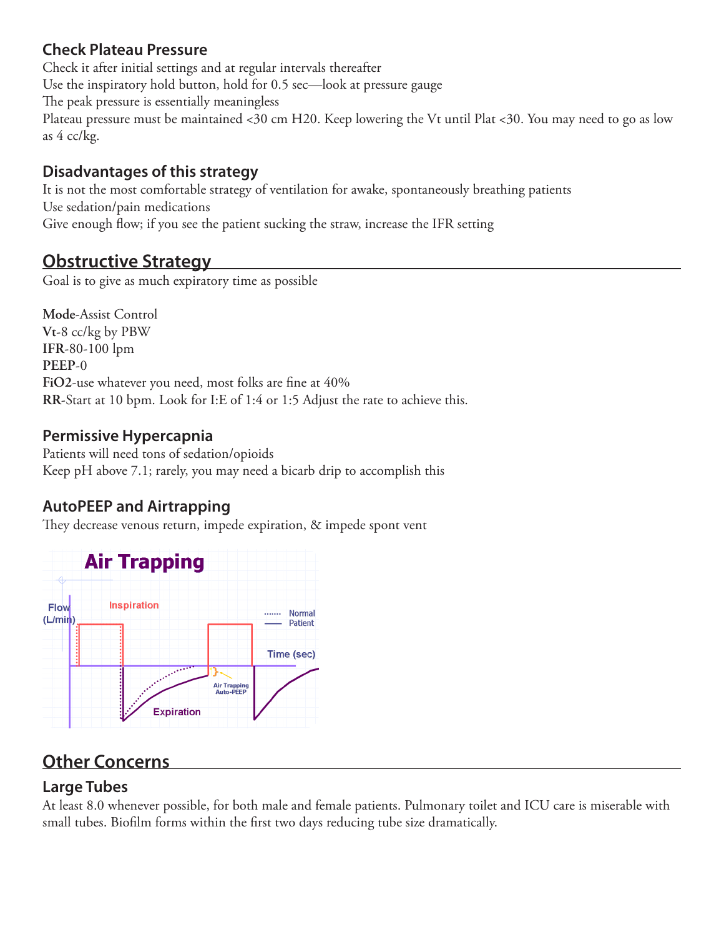#### **Check Plateau Pressure**

Check it after initial settings and at regular intervals thereafter Use the inspiratory hold button, hold for 0.5 sec—look at pressure gauge The peak pressure is essentially meaningless Plateau pressure must be maintained <30 cm H20. Keep lowering the Vt until Plat <30. You may need to go as low as 4 cc/kg.

#### **Disadvantages of this strategy**

It is not the most comfortable strategy of ventilation for awake, spontaneously breathing patients Use sedation/pain medications Give enough flow; if you see the patient sucking the straw, increase the IFR setting

## **Obstructive Strategy**

Goal is to give as much expiratory time as possible

**Mode**-Assist Control **Vt**-8 cc/kg by PBW **IFR**-80-100 lpm **PEEP**-0 **FiO2**-use whatever you need, most folks are fine at 40% **RR**-Start at 10 bpm. Look for I:E of 1:4 or 1:5 Adjust the rate to achieve this.

#### **Permissive Hypercapnia**

Patients will need tons of sedation/opioids Keep pH above 7.1; rarely, you may need a bicarb drip to accomplish this

#### **AutoPEEP and Airtrapping**

They decrease venous return, impede expiration, & impede spont vent



# **Other Concerns**

#### **Large Tubes**

At least 8.0 whenever possible, for both male and female patients. Pulmonary toilet and ICU care is miserable with small tubes. Biofilm forms within the first two days reducing tube size dramatically.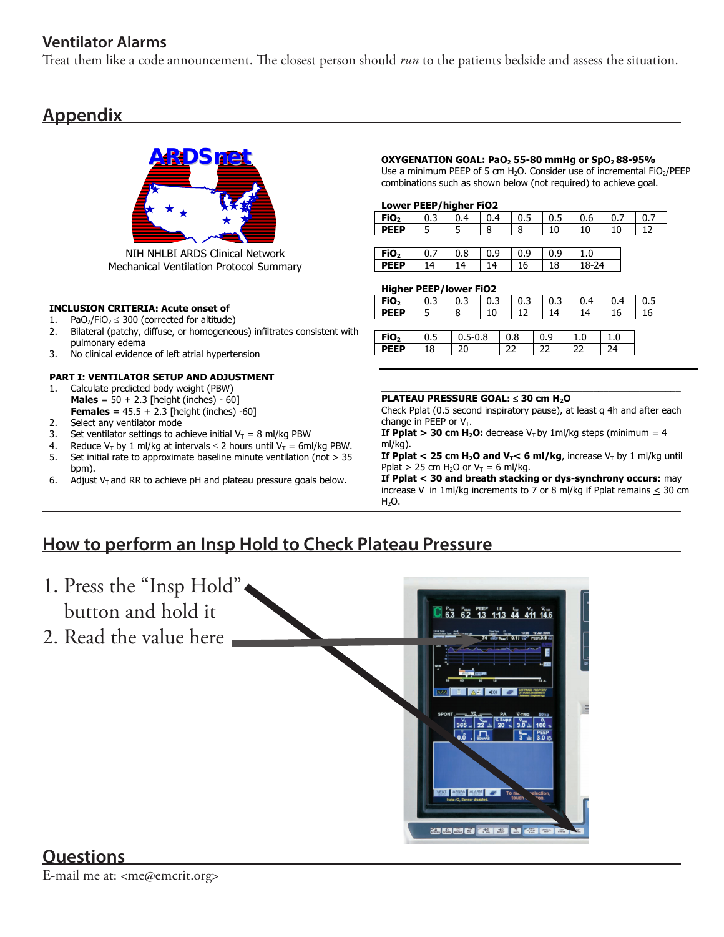#### **Ventilator Alarms**

Treat them like a code announcement. The closest person should *run* to the patients bedside and assess the situation.

# **Appendix**



**NIH NHLBI ARDS Clinical Network Mechanical Ventilation Protocol Summary** 

#### **INCLUSION CRITERIA: Acute onset of**

- 1. PaO<sub>2</sub>/FiO<sub>2</sub>  $\leq$  300 (corrected for altitude)
- 2. Bilateral (patchy, diffuse, or homogeneous) infiltrates consistent with pulmonary edema
- 3. No clinical evidence of left atrial hypertension

#### **PART I: VENTILATOR SETUP AND ADJUSTMENT**

- 1. Calculate predicted body weight (PBW) **Males** = 50 + 2.3 [height (inches) - 60] **Females** =  $45.5 + 2.3$  [height (inches) -60]
- 2. Select any ventilator mode
- 3. Set ventilator settings to achieve initial  $V_T = 8$  ml/kg PBW
- 4. Reduce V<sub>T</sub> by 1 ml/kg at intervals  $\leq$  2 hours until V<sub>T</sub> = 6ml/kg PBW. 5. Set initial rate to approximate baseline minute ventilation (not > 35 bpm).
- 6. Adjust  $V_T$  and RR to achieve pH and plateau pressure goals below.

#### **ADSNET OXYGENATION GOAL: PaO<sub>2</sub> 55-80 mmHg or SpO<sub>2</sub> 88-95%**

Use a minimum PEEP of 5 cm  $H_2O$ . Consider use of incremental FiO<sub>2</sub>/PEEP combinations such as shown below (not required) to achieve goal.

#### **Lower PEEP/higher FiO2**

| FiO <sub>2</sub> | 0.3 | 0.4 | 0.4 | 0.5 | 0.5 | 0.6   | 0.7 | 0.7 |
|------------------|-----|-----|-----|-----|-----|-------|-----|-----|
| <b>PEEP</b>      |     |     | 8   | 8   | 10  | 10    | 10  |     |
|                  |     |     |     |     |     |       |     |     |
| FiO <sub>2</sub> | 0.7 | 0.8 | 0.9 | 0.9 | 0.9 | 1.0   |     |     |
| <b>PEEP</b>      | 14  | 14  | 14  |     |     | 18-24 |     |     |

#### **Higher PEEP/lower FiO2**

| FiO <sub>2</sub> | 0.3 | 0.3 | 0.3         |  | 0.3 |    | 0.3 | 0.4 |     | 0.4 |     | 0.5 |  |
|------------------|-----|-----|-------------|--|-----|----|-----|-----|-----|-----|-----|-----|--|
| <b>PEEP</b>      |     | 8   | 10          |  | ר 1 |    | 14  |     | 14  |     | 16  |     |  |
|                  |     |     |             |  |     |    |     |     |     |     |     |     |  |
| FiO <sub>2</sub> | 0.5 |     | $0.5 - 0.8$ |  | 0.8 |    | 0.9 |     | 1.0 |     | 1.0 |     |  |
| <b>PEEP</b>      | 18  | 20  |             |  |     | רר |     | רר  |     | 24  |     |     |  |

#### $\_$  , and the set of the set of the set of the set of the set of the set of the set of the set of the set of the set of the set of the set of the set of the set of the set of the set of the set of the set of the set of th **PLATEAU PRESSURE GOAL:** ≤ **30 cm H2O**

Check Pplat (0.5 second inspiratory pause), at least q 4h and after each change in PEEP or  $V_T$ .

**If Pplat > 30 cm H<sub>2</sub>O:** decrease  $V_T$  by 1ml/kg steps (minimum = 4 ml/kg).

**If Pplat < 25 cm**  $H_2O$  **and**  $V_T$ **< 6 ml/kg, increase**  $V_T$  **by 1 ml/kg until** Pplat > 25 cm H<sub>2</sub>O or  $V_T = 6$  ml/kg.

**If Pplat < 30 and breath stacking or dys-synchrony occurs:** may increase  $V_T$  in 1ml/kg increments to 7 or 8 ml/kg if Pplat remains < 30 cm  $H<sub>2</sub>O$ .

## **How to perform an Insp Hold to Check Plateau Pressure**



#### **Questions**